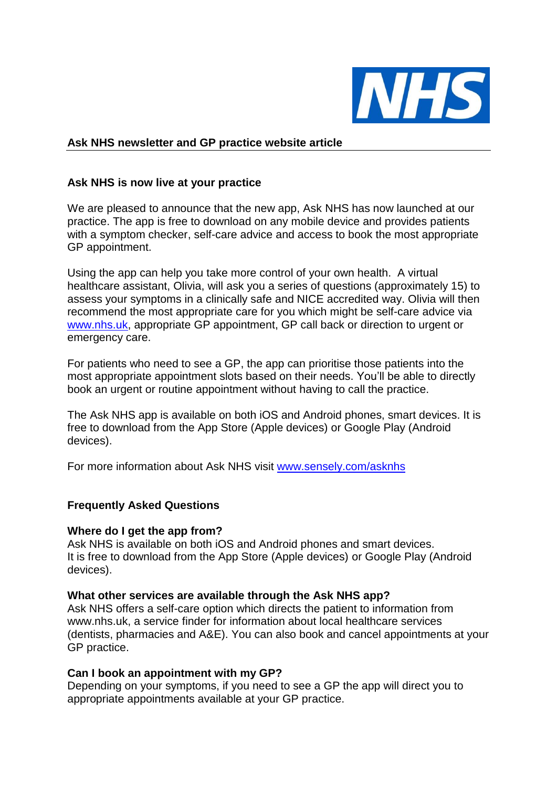

# **Ask NHS newsletter and GP practice website article**

# **Ask NHS is now live at your practice**

We are pleased to announce that the new app, Ask NHS has now launched at our practice. The app is free to download on any mobile device and provides patients with a symptom checker, self-care advice and access to book the most appropriate GP appointment.

Using the app can help you take more control of your own health. A virtual healthcare assistant, Olivia, will ask you a series of questions (approximately 15) to assess your symptoms in a clinically safe and NICE accredited way. Olivia will then recommend the most appropriate care for you which might be self-care advice via [www.nhs.uk,](http://www.nhs.uk/) appropriate GP appointment, GP call back or direction to urgent or emergency care.

For patients who need to see a GP, the app can prioritise those patients into the most appropriate appointment slots based on their needs. You'll be able to directly book an urgent or routine appointment without having to call the practice.

The Ask NHS app is available on both iOS and Android phones, smart devices. It is free to download from the App Store (Apple devices) or Google Play (Android devices).

For more information about Ask NHS visit [www.sensely.com/asknhs](http://www.sensely.com/asknhs)

## **Frequently Asked Questions**

## **Where do I get the app from?**

Ask NHS is available on both iOS and Android phones and smart devices. It is free to download from the App Store (Apple devices) or Google Play (Android devices).

## **What other services are available through the Ask NHS app?**

Ask NHS offers a self-care option which directs the patient to information from www.nhs.uk, a service finder for information about local healthcare services (dentists, pharmacies and A&E). You can also book and cancel appointments at your GP practice.

## **Can I book an appointment with my GP?**

Depending on your symptoms, if you need to see a GP the app will direct you to appropriate appointments available at your GP practice.